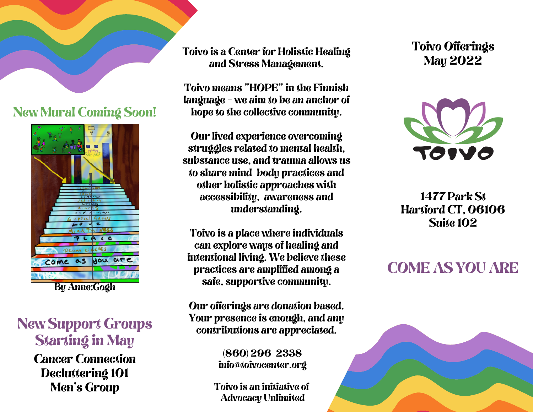### New Mural Coming Soon!



By Anne:Gogh

## New Support Groups Starting in May

Cancer Connection Decluttering 101 Men's Group

Toivo is a Center for Holistic Healing and Stress Management.

Toivo means "HOPE" in the Finnish language - we aim to be an anchor of hope to the collective community.

Our lived experience overcoming struggles related to mental health, substance use, and trauma allows us to share mind-body practices and other holistic approaches with accessibility, awareness and understanding.

Toivo is a place where individuals can explore ways of healing and intentional living. We believe these practices are amplified among a safe, supportive community.

Our offerings are donation based. Your presence is enough, and any contributions are appreciated.

> (860) 296-2338 info@toivocenter.org

Toivo is an initiative of Advocacy Unlimited

Toivo Offerings May 2022



1477 Park St Hartford CT, 06106 Suite 102

## COME AS YOU ARE